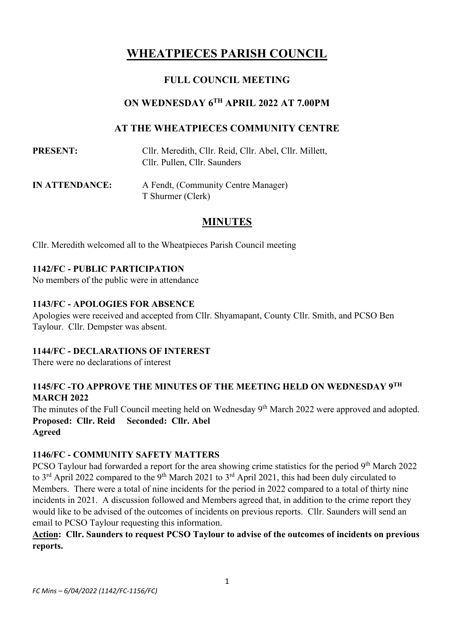## **WHEATPIECES PARISH COUNCIL**

## **FULL COUNCIL MEETING**

## **ON WEDNESDAY 6 TH APRIL 2022 AT 7.00PM**

## **AT THE WHEATPIECES COMMUNITY CENTRE**

| <b>PRESENT:</b> | Cllr. Meredith, Cllr. Reid, Cllr. Abel, Cllr. Millett, |
|-----------------|--------------------------------------------------------|
|                 | Cllr. Pullen, Cllr. Saunders                           |

**IN ATTENDANCE:** A Fendt, (Community Centre Manager) T Shurmer (Clerk)

## **MINUTES**

Cllr. Meredith welcomed all to the Wheatpieces Parish Council meeting

#### **1142/FC - PUBLIC PARTICIPATION**

No members of the public were in attendance

#### **1143/FC - APOLOGIES FOR ABSENCE**

Apologies were received and accepted from Cllr. Shyamapant, County Cllr. Smith, and PCSO Ben Taylour. Cllr. Dempster was absent.

#### **1144/FC - DECLARATIONS OF INTEREST**

There were no declarations of interest

## **1145/FC -TO APPROVE THE MINUTES OF THE MEETING HELD ON WEDNESDAY 9 TH MARCH 2022**

The minutes of the Full Council meeting held on Wednesday 9<sup>th</sup> March 2022 were approved and adopted. **Proposed: Cllr. Reid Seconded: Cllr. Abel Agreed**

## **1146/FC - COMMUNITY SAFETY MATTERS**

PCSO Taylour had forwarded a report for the area showing crime statistics for the period 9<sup>th</sup> March 2022 to 3<sup>rd</sup> April 2022 compared to the 9<sup>th</sup> March 2021 to 3<sup>rd</sup> April 2021, this had been duly circulated to Members. There were a total of nine incidents for the period in 2022 compared to a total of thirty nine incidents in 2021. A discussion followed and Members agreed that, in addition to the crime report they would like to be advised of the outcomes of incidents on previous reports. Cllr. Saunders will send an email to PCSO Taylour requesting this information.

#### **Action: Cllr. Saunders to request PCSO Taylour to advise of the outcomes of incidents on previous reports.**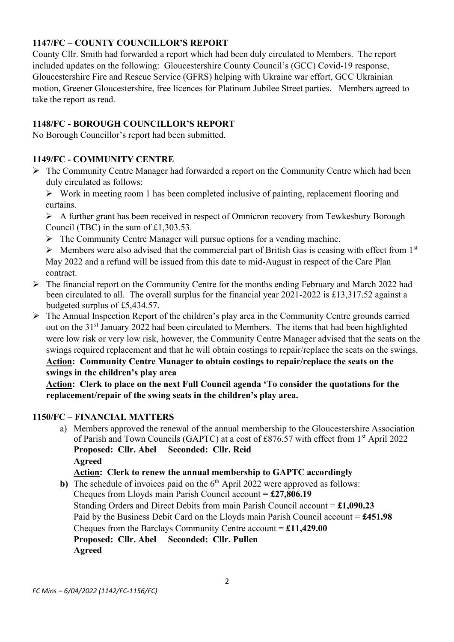## **1147/FC – COUNTY COUNCILLOR'S REPORT**

County Cllr. Smith had forwarded a report which had been duly circulated to Members. The report included updates on the following: Gloucestershire County Council's (GCC) Covid-19 response, Gloucestershire Fire and Rescue Service (GFRS) helping with Ukraine war effort, GCC Ukrainian motion, Greener Gloucestershire, free licences for Platinum Jubilee Street parties. Members agreed to take the report as read.

## **1148/FC - BOROUGH COUNCILLOR'S REPORT**

No Borough Councillor's report had been submitted.

## **1149/FC - COMMUNITY CENTRE**

- ➢ The Community Centre Manager had forwarded a report on the Community Centre which had been duly circulated as follows:
	- ➢ Work in meeting room 1 has been completed inclusive of painting, replacement flooring and curtains.

 $\triangleright$  A further grant has been received in respect of Omnicron recovery from Tewkesbury Borough Council (TBC) in the sum of £1,303.53.

- $\triangleright$  The Community Centre Manager will pursue options for a vending machine.
- $\triangleright$  Members were also advised that the commercial part of British Gas is ceasing with effect from 1<sup>st</sup> May 2022 and a refund will be issued from this date to mid-August in respect of the Care Plan contract.
- ➢ The financial report on the Community Centre for the months ending February and March 2022 had been circulated to all. The overall surplus for the financial year 2021-2022 is £13,317.52 against a budgeted surplus of £5,434.57.
- ➢ The Annual Inspection Report of the children's play area in the Community Centre grounds carried out on the 31<sup>st</sup> January 2022 had been circulated to Members. The items that had been highlighted were low risk or very low risk, however, the Community Centre Manager advised that the seats on the swings required replacement and that he will obtain costings to repair/replace the seats on the swings. **Action: Community Centre Manager to obtain costings to repair/replace the seats on the swings in the children's play area**

**Action: Clerk to place on the next Full Council agenda 'To consider the quotations for the replacement/repair of the swing seats in the children's play area.**

## **1150/FC – FINANCIAL MATTERS**

a) Members approved the renewal of the annual membership to the Gloucestershire Association of Parish and Town Councils (GAPTC) at a cost of £876.57 with effect from 1<sup>st</sup> April 2022 **Proposed: Cllr. Abel Seconded: Cllr. Reid Agreed**

## **Action: Clerk to renew the annual membership to GAPTC accordingly**

**b**) The schedule of invoices paid on the 6<sup>th</sup> April 2022 were approved as follows: Cheques from Lloyds main Parish Council account = **£27,806.19** Standing Orders and Direct Debits from main Parish Council account = **£1,090.23** Paid by the Business Debit Card on the Lloyds main Parish Council account = **£451.98** Cheques from the Barclays Community Centre account = **£11,429.00 Proposed: Cllr. Abel Seconded: Cllr. Pullen**

**Agreed**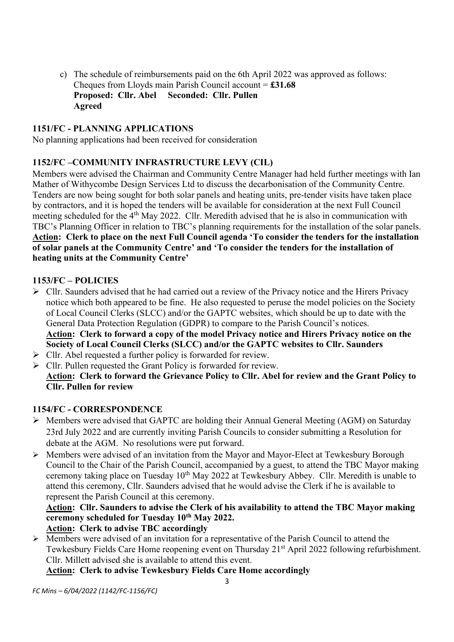c) The schedule of reimbursements paid on the 6th April 2022 was approved as follows: Cheques from Lloyds main Parish Council account = **£31.68 Proposed: Cllr. Abel Seconded: Cllr. Pullen Agreed**

#### **1151/FC - PLANNING APPLICATIONS**

No planning applications had been received for consideration

## **1152/FC –COMMUNITY INFRASTRUCTURE LEVY (CIL)**

Members were advised the Chairman and Community Centre Manager had held further meetings with Ian Mather of Withycombe Design Services Ltd to discuss the decarbonisation of the Community Centre. Tenders are now being sought for both solar panels and heating units, pre-tender visits have taken place by contractors, and it is hoped the tenders will be available for consideration at the next Full Council meeting scheduled for the 4th May 2022. Cllr. Meredith advised that he is also in communication with TBC's Planning Officer in relation to TBC's planning requirements for the installation of the solar panels. **Action: Clerk to place on the next Full Council agenda 'To consider the tenders for the installation of solar panels at the Community Centre' and 'To consider the tenders for the installation of heating units at the Community Centre'**

#### **1153/FC – POLICIES**

- ➢ Cllr. Saunders advised that he had carried out a review of the Privacy notice and the Hirers Privacy notice which both appeared to be fine. He also requested to peruse the model policies on the Society of Local Council Clerks (SLCC) and/or the GAPTC websites, which should be up to date with the General Data Protection Regulation (GDPR) to compare to the Parish Council's notices. **Action: Clerk to forward a copy of the model Privacy notice and Hirers Privacy notice on the Society of Local Council Clerks (SLCC) and/or the GAPTC websites to Cllr. Saunders**
- $\triangleright$  Cllr. Abel requested a further policy is forwarded for review.
- ➢ Cllr. Pullen requested the Grant Policy is forwarded for review. **Action: Clerk to forward the Grievance Policy to Cllr. Abel for review and the Grant Policy to Cllr. Pullen for review**

#### **1154/FC - CORRESPONDENCE**

- ➢ Members were advised that GAPTC are holding their Annual General Meeting (AGM) on Saturday 23rd July 2022 and are currently inviting Parish Councils to consider submitting a Resolution for debate at the AGM. No resolutions were put forward.
- ➢ Members were advised of an invitation from the Mayor and Mayor-Elect at Tewkesbury Borough Council to the Chair of the Parish Council, accompanied by a guest, to attend the TBC Mayor making ceremony taking place on Tuesday  $10^{th}$  May 2022 at Tewkesbury Abbey. Cllr. Meredith is unable to attend this ceremony, Cllr. Saunders advised that he would advise the Clerk if he is available to represent the Parish Council at this ceremony.

## **Action: Cllr. Saunders to advise the Clerk of his availability to attend the TBC Mayor making ceremony scheduled for Tuesday 10th May 2022.**

# **Action: Clerk to advise TBC accordingly**

 $\triangleright$  Members were advised of an invitation for a representative of the Parish Council to attend the Tewkesbury Fields Care Home reopening event on Thursday 21<sup>st</sup> April 2022 following refurbishment. Cllr. Millett advised she is available to attend this event.

**Action: Clerk to advise Tewkesbury Fields Care Home accordingly**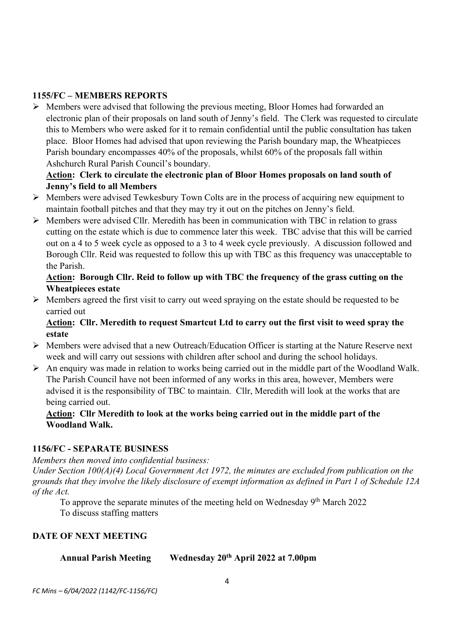#### **1155/FC – MEMBERS REPORTS**

➢ Members were advised that following the previous meeting, Bloor Homes had forwarded an electronic plan of their proposals on land south of Jenny's field. The Clerk was requested to circulate this to Members who were asked for it to remain confidential until the public consultation has taken place. Bloor Homes had advised that upon reviewing the Parish boundary map, the Wheatpieces Parish boundary encompasses 40% of the proposals, whilst 60% of the proposals fall within Ashchurch Rural Parish Council's boundary.

## **Action: Clerk to circulate the electronic plan of Bloor Homes proposals on land south of Jenny's field to all Members**

- ➢ Members were advised Tewkesbury Town Colts are in the process of acquiring new equipment to maintain football pitches and that they may try it out on the pitches on Jenny's field.
- ➢ Members were advised Cllr. Meredith has been in communication with TBC in relation to grass cutting on the estate which is due to commence later this week. TBC advise that this will be carried out on a 4 to 5 week cycle as opposed to a 3 to 4 week cycle previously. A discussion followed and Borough Cllr. Reid was requested to follow this up with TBC as this frequency was unacceptable to the Parish.

## **Action: Borough Cllr. Reid to follow up with TBC the frequency of the grass cutting on the Wheatpieces estate**

➢ Members agreed the first visit to carry out weed spraying on the estate should be requested to be carried out

#### **Action: Cllr. Meredith to request Smartcut Ltd to carry out the first visit to weed spray the estate**

- ➢ Members were advised that a new Outreach/Education Officer is starting at the Nature Reserve next week and will carry out sessions with children after school and during the school holidays.
- ➢ An enquiry was made in relation to works being carried out in the middle part of the Woodland Walk. The Parish Council have not been informed of any works in this area, however, Members were advised it is the responsibility of TBC to maintain. Cllr, Meredith will look at the works that are being carried out.

#### **Action: Cllr Meredith to look at the works being carried out in the middle part of the Woodland Walk.**

#### **1156/FC - SEPARATE BUSINESS**

*Members then moved into confidential business: Under Section 100(A)(4) Local Government Act 1972, the minutes are excluded from publication on the grounds that they involve the likely disclosure of exempt information as defined in Part 1 of Schedule 12A of the Act.*

To approve the separate minutes of the meeting held on Wednesday 9<sup>th</sup> March 2022 To discuss staffing matters

## **DATE OF NEXT MEETING**

| <b>Annual Parish Meeting</b> | Wednesday 20 <sup>th</sup> April 2022 at 7.00pm |
|------------------------------|-------------------------------------------------|
|                              |                                                 |